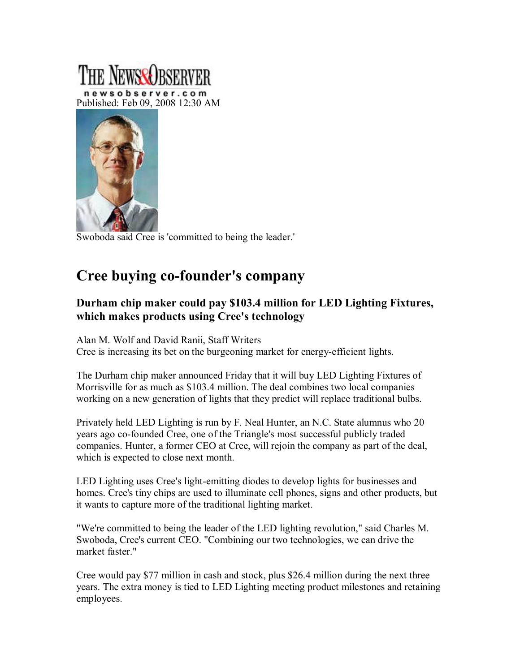## newsobserver.com Published: Feb 09, 2008 12:30 AM



Swoboda said Cree is 'committed to being the leader.'

## **Cree buying co-founder's company**

## **Durham chip maker could pay \$103.4 million for LED Lighting Fixtures, which makes products using Cree's technology**

Alan M. Wolf and David Ranii, Staff Writers Cree is increasing its bet on the burgeoning market for energyefficient lights.

The Durham chip maker announced Friday that it will buy LED Lighting Fixtures of Morrisville for as much as \$103.4 million. The deal combines two local companies working on a new generation of lights that they predict will replace traditional bulbs.

Privately held LED Lighting is run by F. Neal Hunter, an N.C. State alumnus who 20 years ago co-founded Cree, one of the Triangle's most successful publicly traded companies. Hunter, a former CEO at Cree, will rejoin the company as part of the deal, which is expected to close next month.

LED Lighting uses Cree's light-emitting diodes to develop lights for businesses and homes. Cree's tiny chips are used to illuminate cell phones, signs and other products, but it wants to capture more of the traditional lighting market.

"We're committed to being the leader of the LED lighting revolution," said Charles M. Swoboda, Cree's current CEO. "Combining our two technologies, we can drive the market faster."

Cree would pay \$77 million in cash and stock, plus \$26.4 million during the next three years. The extra money is tied to LED Lighting meeting product milestones and retaining employees.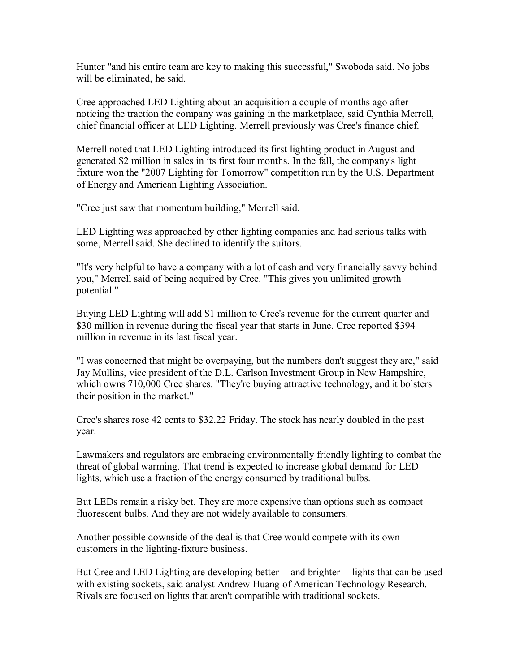Hunter "and his entire team are key to making this successful," Swoboda said. No jobs will be eliminated, he said.

Cree approached LED Lighting about an acquisition a couple of months ago after noticing the traction the company was gaining in the marketplace, said Cynthia Merrell, chief financial officer at LED Lighting. Merrell previously was Cree's finance chief.

Merrell noted that LED Lighting introduced its first lighting product in August and generated \$2 million in sales in its first four months. In the fall, the company's light fixture won the "2007 Lighting for Tomorrow" competition run by the U.S. Department of Energy and American Lighting Association.

"Cree just saw that momentum building," Merrell said.

LED Lighting was approached by other lighting companies and had serious talks with some, Merrell said. She declined to identify the suitors.

"It's very helpful to have a company with a lot of cash and very financially savvy behind you," Merrell said of being acquired by Cree. "This gives you unlimited growth potential."

Buying LED Lighting will add \$1 million to Cree's revenue for the current quarter and \$30 million in revenue during the fiscal year that starts in June. Cree reported \$394 million in revenue in its last fiscal year.

"I was concerned that might be overpaying, but the numbers don't suggest they are," said Jay Mullins, vice president of the D.L. Carlson Investment Group in New Hampshire, which owns 710,000 Cree shares. "They're buying attractive technology, and it bolsters their position in the market."

Cree's shares rose 42 cents to \$32.22 Friday. The stock has nearly doubled in the past year.

Lawmakers and regulators are embracing environmentally friendly lighting to combat the threat of global warming. That trend is expected to increase global demand for LED lights, which use a fraction of the energy consumed by traditional bulbs.

But LEDs remain a risky bet. They are more expensive than options such as compact fluorescent bulbs. And they are not widely available to consumers.

Another possible downside of the deal is that Cree would compete with its own customers in the lighting-fixture business.

But Cree and LED Lighting are developing better -- and brighter -- lights that can be used with existing sockets, said analyst Andrew Huang of American Technology Research. Rivals are focused on lights that aren't compatible with traditional sockets.